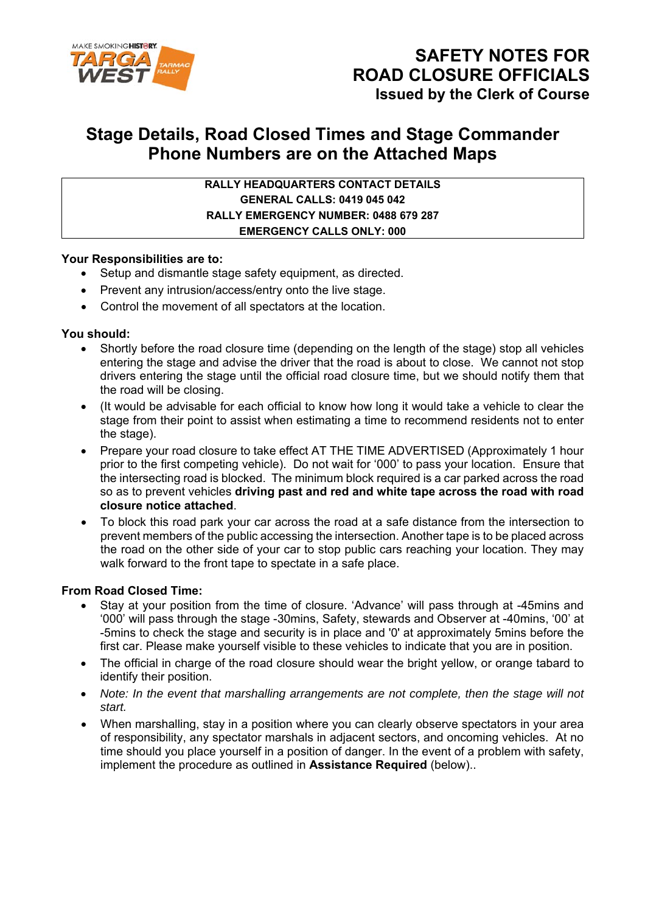

# **Stage Details, Road Closed Times and Stage Commander Phone Numbers are on the Attached Maps**

### **RALLY HEADQUARTERS CONTACT DETAILS GENERAL CALLS: 0419 045 042 RALLY EMERGENCY NUMBER: 0488 679 287 EMERGENCY CALLS ONLY: 000**

#### **Your Responsibilities are to:**

- Setup and dismantle stage safety equipment, as directed.
- Prevent any intrusion/access/entry onto the live stage.
- Control the movement of all spectators at the location.

#### **You should:**

- Shortly before the road closure time (depending on the length of the stage) stop all vehicles entering the stage and advise the driver that the road is about to close. We cannot not stop drivers entering the stage until the official road closure time, but we should notify them that the road will be closing.
- (It would be advisable for each official to know how long it would take a vehicle to clear the stage from their point to assist when estimating a time to recommend residents not to enter the stage).
- Prepare your road closure to take effect AT THE TIME ADVERTISED (Approximately 1 hour prior to the first competing vehicle). Do not wait for '000' to pass your location. Ensure that the intersecting road is blocked. The minimum block required is a car parked across the road so as to prevent vehicles **driving past and red and white tape across the road with road closure notice attached**.
- To block this road park your car across the road at a safe distance from the intersection to prevent members of the public accessing the intersection. Another tape is to be placed across the road on the other side of your car to stop public cars reaching your location. They may walk forward to the front tape to spectate in a safe place.

#### **From Road Closed Time:**

- Stay at your position from the time of closure. 'Advance' will pass through at -45mins and '000' will pass through the stage -30mins, Safety, stewards and Observer at -40mins, '00' at -5mins to check the stage and security is in place and '0' at approximately 5mins before the first car. Please make yourself visible to these vehicles to indicate that you are in position.
- The official in charge of the road closure should wear the bright yellow, or orange tabard to identify their position.
- *Note: In the event that marshalling arrangements are not complete, then the stage will not start.*
- When marshalling, stay in a position where you can clearly observe spectators in your area of responsibility, any spectator marshals in adjacent sectors, and oncoming vehicles. At no time should you place yourself in a position of danger. In the event of a problem with safety, implement the procedure as outlined in **Assistance Required** (below)..